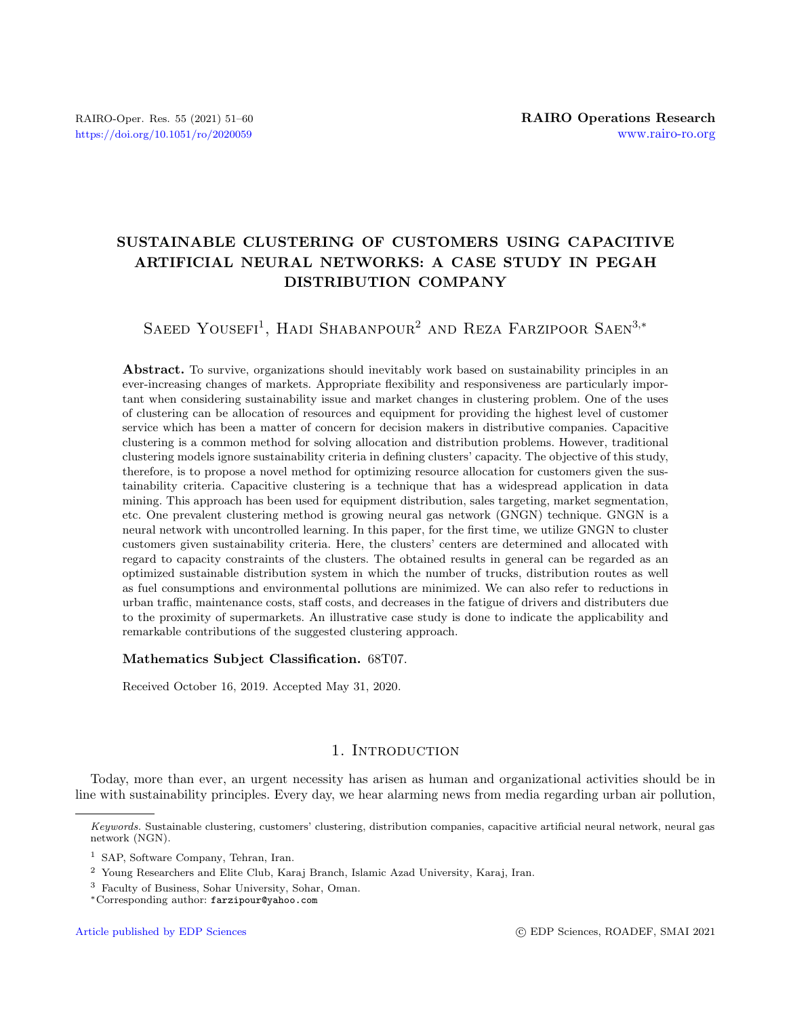# SUSTAINABLE CLUSTERING OF CUSTOMERS USING CAPACITIVE ARTIFICIAL NEURAL NETWORKS: A CASE STUDY IN PEGAH DISTRIBUTION COMPANY

SAEED YOUSEFI<sup>1</sup>, HADI SHABANPOUR<sup>2</sup> AND REZA FARZIPOOR SAEN<sup>3,\*</sup>

Abstract. To survive, organizations should inevitably work based on sustainability principles in an ever-increasing changes of markets. Appropriate flexibility and responsiveness are particularly important when considering sustainability issue and market changes in clustering problem. One of the uses of clustering can be allocation of resources and equipment for providing the highest level of customer service which has been a matter of concern for decision makers in distributive companies. Capacitive clustering is a common method for solving allocation and distribution problems. However, traditional clustering models ignore sustainability criteria in defining clusters' capacity. The objective of this study, therefore, is to propose a novel method for optimizing resource allocation for customers given the sustainability criteria. Capacitive clustering is a technique that has a widespread application in data mining. This approach has been used for equipment distribution, sales targeting, market segmentation, etc. One prevalent clustering method is growing neural gas network (GNGN) technique. GNGN is a neural network with uncontrolled learning. In this paper, for the first time, we utilize GNGN to cluster customers given sustainability criteria. Here, the clusters' centers are determined and allocated with regard to capacity constraints of the clusters. The obtained results in general can be regarded as an optimized sustainable distribution system in which the number of trucks, distribution routes as well as fuel consumptions and environmental pollutions are minimized. We can also refer to reductions in urban traffic, maintenance costs, staff costs, and decreases in the fatigue of drivers and distributers due to the proximity of supermarkets. An illustrative case study is done to indicate the applicability and remarkable contributions of the suggested clustering approach.

## Mathematics Subject Classification. 68T07.

Received October 16, 2019. Accepted May 31, 2020.

# 1. INTRODUCTION

Today, more than ever, an urgent necessity has arisen as human and organizational activities should be in line with sustainability principles. Every day, we hear alarming news from media regarding urban air pollution,

Keywords. Sustainable clustering, customers' clustering, distribution companies, capacitive artificial neural network, neural gas network (NGN).

<sup>1</sup> SAP, Software Company, Tehran, Iran.

<sup>2</sup> Young Researchers and Elite Club, Karaj Branch, Islamic Azad University, Karaj, Iran.

<sup>3</sup> Faculty of Business, Sohar University, Sohar, Oman.

<sup>∗</sup>Corresponding author: [farzipour@yahoo.com](mailto:farzipour@yahoo.com)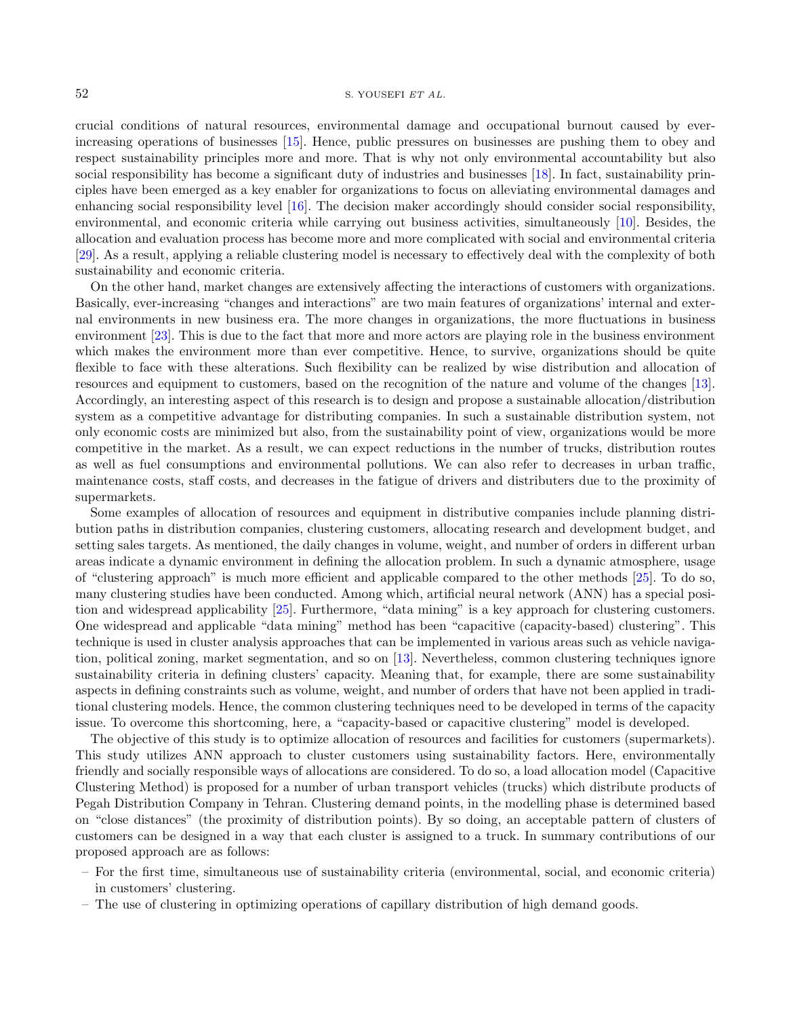crucial conditions of natural resources, environmental damage and occupational burnout caused by everincreasing operations of businesses [\[15\]](#page-9-0). Hence, public pressures on businesses are pushing them to obey and respect sustainability principles more and more. That is why not only environmental accountability but also social responsibility has become a significant duty of industries and businesses [\[18\]](#page-9-1). In fact, sustainability principles have been emerged as a key enabler for organizations to focus on alleviating environmental damages and enhancing social responsibility level [\[16\]](#page-9-2). The decision maker accordingly should consider social responsibility, environmental, and economic criteria while carrying out business activities, simultaneously [\[10\]](#page-8-0). Besides, the allocation and evaluation process has become more and more complicated with social and environmental criteria [\[29\]](#page-9-3). As a result, applying a reliable clustering model is necessary to effectively deal with the complexity of both sustainability and economic criteria.

On the other hand, market changes are extensively affecting the interactions of customers with organizations. Basically, ever-increasing "changes and interactions" are two main features of organizations' internal and external environments in new business era. The more changes in organizations, the more fluctuations in business environment [\[23\]](#page-9-4). This is due to the fact that more and more actors are playing role in the business environment which makes the environment more than ever competitive. Hence, to survive, organizations should be quite flexible to face with these alterations. Such flexibility can be realized by wise distribution and allocation of resources and equipment to customers, based on the recognition of the nature and volume of the changes [\[13\]](#page-9-5). Accordingly, an interesting aspect of this research is to design and propose a sustainable allocation/distribution system as a competitive advantage for distributing companies. In such a sustainable distribution system, not only economic costs are minimized but also, from the sustainability point of view, organizations would be more competitive in the market. As a result, we can expect reductions in the number of trucks, distribution routes as well as fuel consumptions and environmental pollutions. We can also refer to decreases in urban traffic, maintenance costs, staff costs, and decreases in the fatigue of drivers and distributers due to the proximity of supermarkets.

Some examples of allocation of resources and equipment in distributive companies include planning distribution paths in distribution companies, clustering customers, allocating research and development budget, and setting sales targets. As mentioned, the daily changes in volume, weight, and number of orders in different urban areas indicate a dynamic environment in defining the allocation problem. In such a dynamic atmosphere, usage of "clustering approach" is much more efficient and applicable compared to the other methods [\[25\]](#page-9-6). To do so, many clustering studies have been conducted. Among which, artificial neural network (ANN) has a special position and widespread applicability [\[25\]](#page-9-6). Furthermore, "data mining" is a key approach for clustering customers. One widespread and applicable "data mining" method has been "capacitive (capacity-based) clustering". This technique is used in cluster analysis approaches that can be implemented in various areas such as vehicle navigation, political zoning, market segmentation, and so on [\[13\]](#page-9-5). Nevertheless, common clustering techniques ignore sustainability criteria in defining clusters' capacity. Meaning that, for example, there are some sustainability aspects in defining constraints such as volume, weight, and number of orders that have not been applied in traditional clustering models. Hence, the common clustering techniques need to be developed in terms of the capacity issue. To overcome this shortcoming, here, a "capacity-based or capacitive clustering" model is developed.

The objective of this study is to optimize allocation of resources and facilities for customers (supermarkets). This study utilizes ANN approach to cluster customers using sustainability factors. Here, environmentally friendly and socially responsible ways of allocations are considered. To do so, a load allocation model (Capacitive Clustering Method) is proposed for a number of urban transport vehicles (trucks) which distribute products of Pegah Distribution Company in Tehran. Clustering demand points, in the modelling phase is determined based on "close distances" (the proximity of distribution points). By so doing, an acceptable pattern of clusters of customers can be designed in a way that each cluster is assigned to a truck. In summary contributions of our proposed approach are as follows:

- For the first time, simultaneous use of sustainability criteria (environmental, social, and economic criteria) in customers' clustering.
- The use of clustering in optimizing operations of capillary distribution of high demand goods.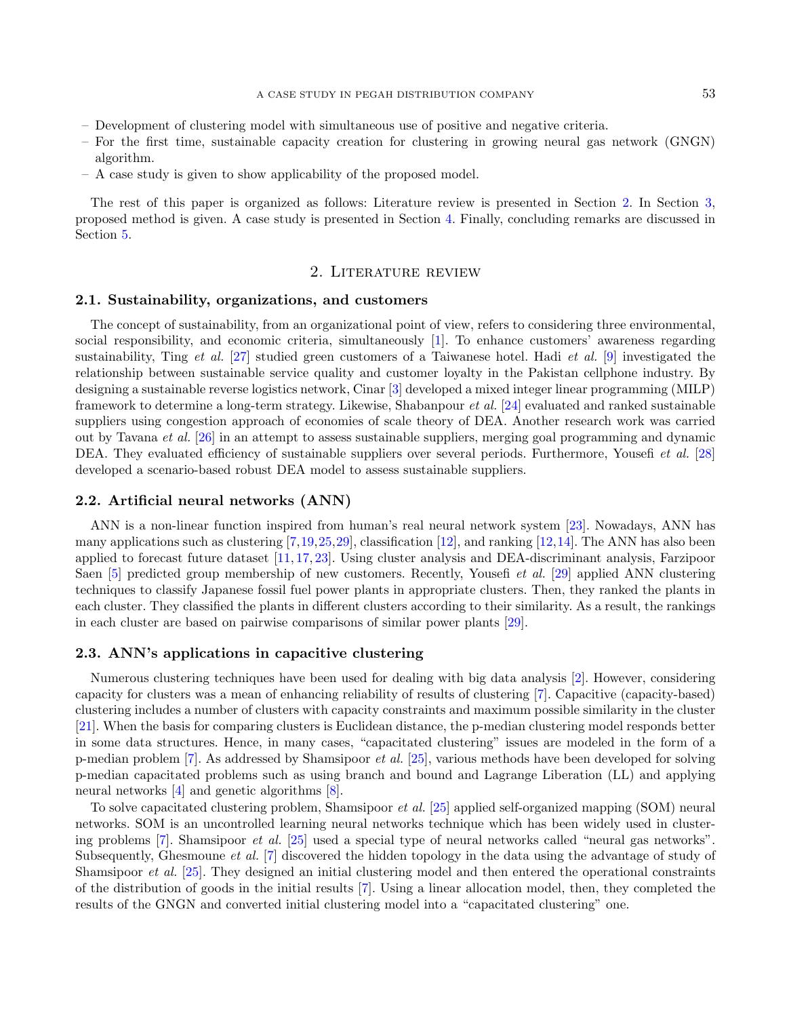- Development of clustering model with simultaneous use of positive and negative criteria.
- For the first time, sustainable capacity creation for clustering in growing neural gas network (GNGN) algorithm.
- A case study is given to show applicability of the proposed model.

The rest of this paper is organized as follows: Literature review is presented in Section [2.](#page-2-0) In Section [3,](#page-3-0) proposed method is given. A case study is presented in Section [4.](#page-5-0) Finally, concluding remarks are discussed in Section [5.](#page-8-1)

#### 2. Literature review

## <span id="page-2-0"></span>2.1. Sustainability, organizations, and customers

The concept of sustainability, from an organizational point of view, refers to considering three environmental, social responsibility, and economic criteria, simultaneously [\[1\]](#page-8-2). To enhance customers' awareness regarding sustainability, Ting et al. [\[27\]](#page-9-7) studied green customers of a Taiwanese hotel. Hadi et al. [\[9\]](#page-8-3) investigated the relationship between sustainable service quality and customer loyalty in the Pakistan cellphone industry. By designing a sustainable reverse logistics network, Cinar [\[3\]](#page-8-4) developed a mixed integer linear programming (MILP) framework to determine a long-term strategy. Likewise, Shabanpour et al. [\[24\]](#page-9-8) evaluated and ranked sustainable suppliers using congestion approach of economies of scale theory of DEA. Another research work was carried out by Tavana et al. [\[26\]](#page-9-9) in an attempt to assess sustainable suppliers, merging goal programming and dynamic DEA. They evaluated efficiency of sustainable suppliers over several periods. Furthermore, Yousefi et al. [\[28\]](#page-9-10) developed a scenario-based robust DEA model to assess sustainable suppliers.

### 2.2. Artificial neural networks (ANN)

ANN is a non-linear function inspired from human's real neural network system [\[23\]](#page-9-4). Nowadays, ANN has many applications such as clustering  $[7,19,25,29]$  $[7,19,25,29]$  $[7,19,25,29]$  $[7,19,25,29]$ , classification [\[12\]](#page-9-12), and ranking [\[12,](#page-9-12)[14\]](#page-9-13). The ANN has also been applied to forecast future dataset [\[11,](#page-9-14) [17,](#page-9-15) [23\]](#page-9-4). Using cluster analysis and DEA-discriminant analysis, Farzipoor Saen [\[5\]](#page-8-6) predicted group membership of new customers. Recently, Yousefi *et al.* [\[29\]](#page-9-3) applied ANN clustering techniques to classify Japanese fossil fuel power plants in appropriate clusters. Then, they ranked the plants in each cluster. They classified the plants in different clusters according to their similarity. As a result, the rankings in each cluster are based on pairwise comparisons of similar power plants [\[29\]](#page-9-3).

### 2.3. ANN's applications in capacitive clustering

Numerous clustering techniques have been used for dealing with big data analysis [\[2\]](#page-8-7). However, considering capacity for clusters was a mean of enhancing reliability of results of clustering [\[7\]](#page-8-5). Capacitive (capacity-based) clustering includes a number of clusters with capacity constraints and maximum possible similarity in the cluster [\[21\]](#page-9-16). When the basis for comparing clusters is Euclidean distance, the p-median clustering model responds better in some data structures. Hence, in many cases, "capacitated clustering" issues are modeled in the form of a p-median problem [\[7\]](#page-8-5). As addressed by Shamsipoor et al. [\[25\]](#page-9-6), various methods have been developed for solving p-median capacitated problems such as using branch and bound and Lagrange Liberation (LL) and applying neural networks [\[4\]](#page-8-8) and genetic algorithms [\[8\]](#page-8-9).

To solve capacitated clustering problem, Shamsipoor et al. [\[25\]](#page-9-6) applied self-organized mapping (SOM) neural networks. SOM is an uncontrolled learning neural networks technique which has been widely used in clustering problems [\[7\]](#page-8-5). Shamsipoor et al. [\[25\]](#page-9-6) used a special type of neural networks called "neural gas networks". Subsequently, Ghesmoune et al. [\[7\]](#page-8-5) discovered the hidden topology in the data using the advantage of study of Shamsipoor et al. [\[25\]](#page-9-6). They designed an initial clustering model and then entered the operational constraints of the distribution of goods in the initial results [\[7\]](#page-8-5). Using a linear allocation model, then, they completed the results of the GNGN and converted initial clustering model into a "capacitated clustering" one.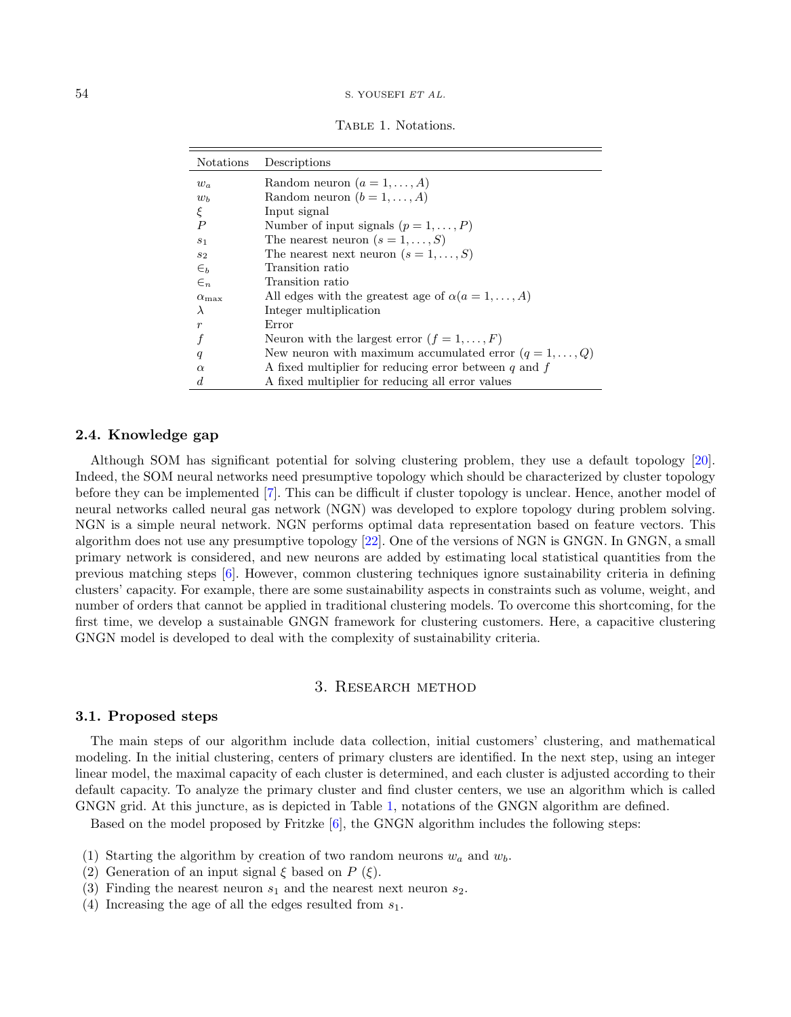<span id="page-3-1"></span>TABLE 1. Notations.

| <b>Notations</b> | Descriptions                                                   |
|------------------|----------------------------------------------------------------|
| $w_a$            | Random neuron $(a = 1, \ldots, A)$                             |
| $w_b$            | Random neuron $(b = 1, , A)$                                   |
| ξ                | Input signal                                                   |
| $\boldsymbol{P}$ | Number of input signals $(p = 1, \ldots, P)$                   |
| S <sub>1</sub>   | The nearest neuron $(s = 1, \ldots, S)$                        |
| $s_2$            | The nearest next neuron $(s = 1, \ldots, S)$                   |
| $\epsilon_{b}$   | Transition ratio                                               |
| $\in_n$          | Transition ratio                                               |
| $\alpha_{\max}$  | All edges with the greatest age of $\alpha(a=1,\ldots,A)$      |
| $\lambda$        | Integer multiplication                                         |
| $\boldsymbol{r}$ | Error                                                          |
|                  | Neuron with the largest error $(f = 1, , F)$                   |
| q                | New neuron with maximum accumulated error $(q = 1, \ldots, Q)$ |
| $\alpha$         | A fixed multiplier for reducing error between q and $f$        |
| d.               | A fixed multiplier for reducing all error values               |

#### 2.4. Knowledge gap

Although SOM has significant potential for solving clustering problem, they use a default topology [\[20\]](#page-9-17). Indeed, the SOM neural networks need presumptive topology which should be characterized by cluster topology before they can be implemented [\[7\]](#page-8-5). This can be difficult if cluster topology is unclear. Hence, another model of neural networks called neural gas network (NGN) was developed to explore topology during problem solving. NGN is a simple neural network. NGN performs optimal data representation based on feature vectors. This algorithm does not use any presumptive topology [\[22\]](#page-9-18). One of the versions of NGN is GNGN. In GNGN, a small primary network is considered, and new neurons are added by estimating local statistical quantities from the previous matching steps [\[6\]](#page-8-10). However, common clustering techniques ignore sustainability criteria in defining clusters' capacity. For example, there are some sustainability aspects in constraints such as volume, weight, and number of orders that cannot be applied in traditional clustering models. To overcome this shortcoming, for the first time, we develop a sustainable GNGN framework for clustering customers. Here, a capacitive clustering GNGN model is developed to deal with the complexity of sustainability criteria.

## 3. Research method

#### <span id="page-3-0"></span>3.1. Proposed steps

The main steps of our algorithm include data collection, initial customers' clustering, and mathematical modeling. In the initial clustering, centers of primary clusters are identified. In the next step, using an integer linear model, the maximal capacity of each cluster is determined, and each cluster is adjusted according to their default capacity. To analyze the primary cluster and find cluster centers, we use an algorithm which is called GNGN grid. At this juncture, as is depicted in Table [1,](#page-3-1) notations of the GNGN algorithm are defined.

Based on the model proposed by Fritzke [\[6\]](#page-8-10), the GNGN algorithm includes the following steps:

- (1) Starting the algorithm by creation of two random neurons  $w_a$  and  $w_b$ .
- (2) Generation of an input signal  $\xi$  based on  $P(\xi)$ .
- (3) Finding the nearest neuron  $s_1$  and the nearest next neuron  $s_2$ .
- (4) Increasing the age of all the edges resulted from  $s_1$ .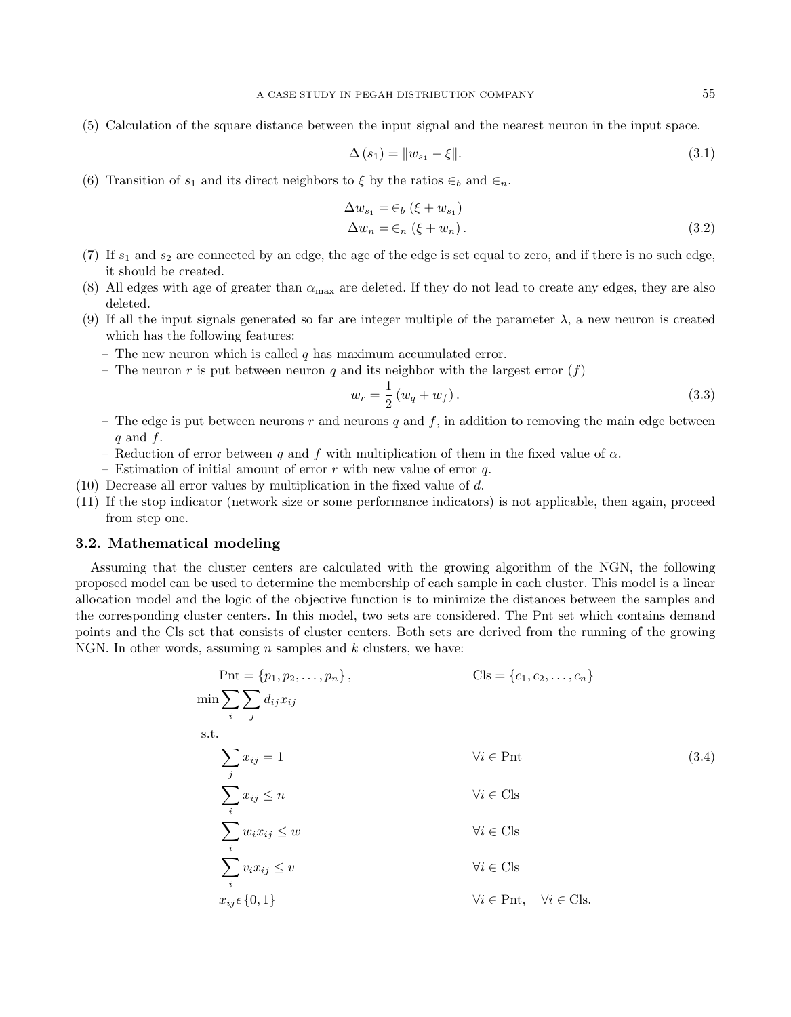(5) Calculation of the square distance between the input signal and the nearest neuron in the input space.

<span id="page-4-2"></span><span id="page-4-0"></span>
$$
\Delta(s_1) = ||w_{s_1} - \xi||. \tag{3.1}
$$

(6) Transition of  $s_1$  and its direct neighbors to  $\xi$  by the ratios  $\in_b$  and  $\in_n$ .

$$
\Delta w_{s_1} = \epsilon_b \left( \xi + w_{s_1} \right)
$$
  
\n
$$
\Delta w_n = \epsilon_n \left( \xi + w_n \right).
$$
\n(3.2)

- (7) If  $s_1$  and  $s_2$  are connected by an edge, the age of the edge is set equal to zero, and if there is no such edge, it should be created.
- (8) All edges with age of greater than  $\alpha_{\text{max}}$  are deleted. If they do not lead to create any edges, they are also deleted.
- (9) If all the input signals generated so far are integer multiple of the parameter  $\lambda$ , a new neuron is created which has the following features:
	- The new neuron which is called  $q$  has maximum accumulated error.
	- The neuron r is put between neuron q and its neighbor with the largest error  $(f)$

<span id="page-4-1"></span>
$$
w_r = \frac{1}{2} (w_q + w_f).
$$
 (3.3)

- <span id="page-4-3"></span>– The edge is put between neurons r and neurons q and f, in addition to removing the main edge between q and  $f$ .
- Reduction of error between q and f with multiplication of them in the fixed value of  $\alpha$ .
- Estimation of initial amount of error  $r$  with new value of error  $q$ .
- (10) Decrease all error values by multiplication in the fixed value of d.
- (11) If the stop indicator (network size or some performance indicators) is not applicable, then again, proceed from step one.

## 3.2. Mathematical modeling

Assuming that the cluster centers are calculated with the growing algorithm of the NGN, the following proposed model can be used to determine the membership of each sample in each cluster. This model is a linear allocation model and the logic of the objective function is to minimize the distances between the samples and the corresponding cluster centers. In this model, two sets are considered. The Pnt set which contains demand points and the Cls set that consists of cluster centers. Both sets are derived from the running of the growing NGN. In other words, assuming  $n$  samples and  $k$  clusters, we have:

$$
\begin{aligned}\n\text{Pnt} &= \{p_1, p_2, \dots, p_n\}, & \text{Cls} &= \{c_1, c_2, \dots, c_n\} \\
\min \sum_{i} \sum_{j} d_{ij} x_{ij} \\
\text{s.t.} & \sum_{j} x_{ij} = 1 & \forall i \in \text{Pnt} \\
& \sum_{i} x_{ij} \le n & \forall i \in \text{Cls} \\
& \sum_{i} w_i x_{ij} \le w & \forall i \in \text{Cls} \\
& \sum_{i} v_i x_{ij} \le v & \forall i \in \text{Cls} \\
& x_{ij} \in \{0, 1\} & \forall i \in \text{Pnt}, & \forall i \in \text{Cls}.\n\end{aligned}
$$
\n(3.4)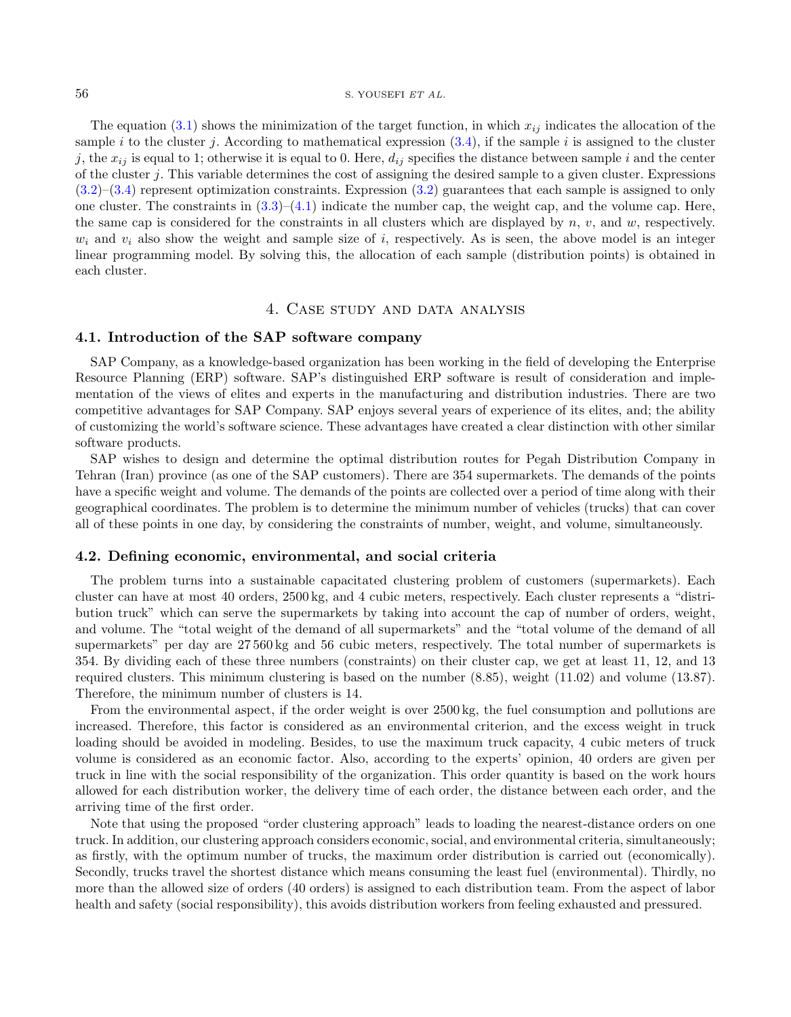The equation  $(3.1)$  shows the minimization of the target function, in which  $x_{ij}$  indicates the allocation of the sample i to the cluster j. According to mathematical expression  $(3.4)$ , if the sample i is assigned to the cluster j, the  $x_{ij}$  is equal to 1; otherwise it is equal to 0. Here,  $d_{ij}$  specifies the distance between sample i and the center of the cluster j. This variable determines the cost of assigning the desired sample to a given cluster. Expressions [\(3.2\)](#page-4-2)–[\(3.4\)](#page-4-1) represent optimization constraints. Expression [\(3.2\)](#page-4-2) guarantees that each sample is assigned to only one cluster. The constraints in  $(3.3)-(4.1)$  $(3.3)-(4.1)$  $(3.3)-(4.1)$  indicate the number cap, the weight cap, and the volume cap. Here, the same cap is considered for the constraints in all clusters which are displayed by  $n, v$ , and  $w$ , respectively.  $w_i$  and  $v_i$  also show the weight and sample size of i, respectively. As is seen, the above model is an integer linear programming model. By solving this, the allocation of each sample (distribution points) is obtained in each cluster.

# 4. Case study and data analysis

# <span id="page-5-0"></span>4.1. Introduction of the SAP software company

SAP Company, as a knowledge-based organization has been working in the field of developing the Enterprise Resource Planning (ERP) software. SAP's distinguished ERP software is result of consideration and implementation of the views of elites and experts in the manufacturing and distribution industries. There are two competitive advantages for SAP Company. SAP enjoys several years of experience of its elites, and; the ability of customizing the world's software science. These advantages have created a clear distinction with other similar software products.

SAP wishes to design and determine the optimal distribution routes for Pegah Distribution Company in Tehran (Iran) province (as one of the SAP customers). There are 354 supermarkets. The demands of the points have a specific weight and volume. The demands of the points are collected over a period of time along with their geographical coordinates. The problem is to determine the minimum number of vehicles (trucks) that can cover all of these points in one day, by considering the constraints of number, weight, and volume, simultaneously.

#### 4.2. Defining economic, environmental, and social criteria

The problem turns into a sustainable capacitated clustering problem of customers (supermarkets). Each cluster can have at most 40 orders, 2500 kg, and 4 cubic meters, respectively. Each cluster represents a "distribution truck" which can serve the supermarkets by taking into account the cap of number of orders, weight, and volume. The "total weight of the demand of all supermarkets" and the "total volume of the demand of all supermarkets" per day are 27 560 kg and 56 cubic meters, respectively. The total number of supermarkets is 354. By dividing each of these three numbers (constraints) on their cluster cap, we get at least 11, 12, and 13 required clusters. This minimum clustering is based on the number (8.85), weight (11.02) and volume (13.87). Therefore, the minimum number of clusters is 14.

From the environmental aspect, if the order weight is over 2500 kg, the fuel consumption and pollutions are increased. Therefore, this factor is considered as an environmental criterion, and the excess weight in truck loading should be avoided in modeling. Besides, to use the maximum truck capacity, 4 cubic meters of truck volume is considered as an economic factor. Also, according to the experts' opinion, 40 orders are given per truck in line with the social responsibility of the organization. This order quantity is based on the work hours allowed for each distribution worker, the delivery time of each order, the distance between each order, and the arriving time of the first order.

Note that using the proposed "order clustering approach" leads to loading the nearest-distance orders on one truck. In addition, our clustering approach considers economic, social, and environmental criteria, simultaneously; as firstly, with the optimum number of trucks, the maximum order distribution is carried out (economically). Secondly, trucks travel the shortest distance which means consuming the least fuel (environmental). Thirdly, no more than the allowed size of orders (40 orders) is assigned to each distribution team. From the aspect of labor health and safety (social responsibility), this avoids distribution workers from feeling exhausted and pressured.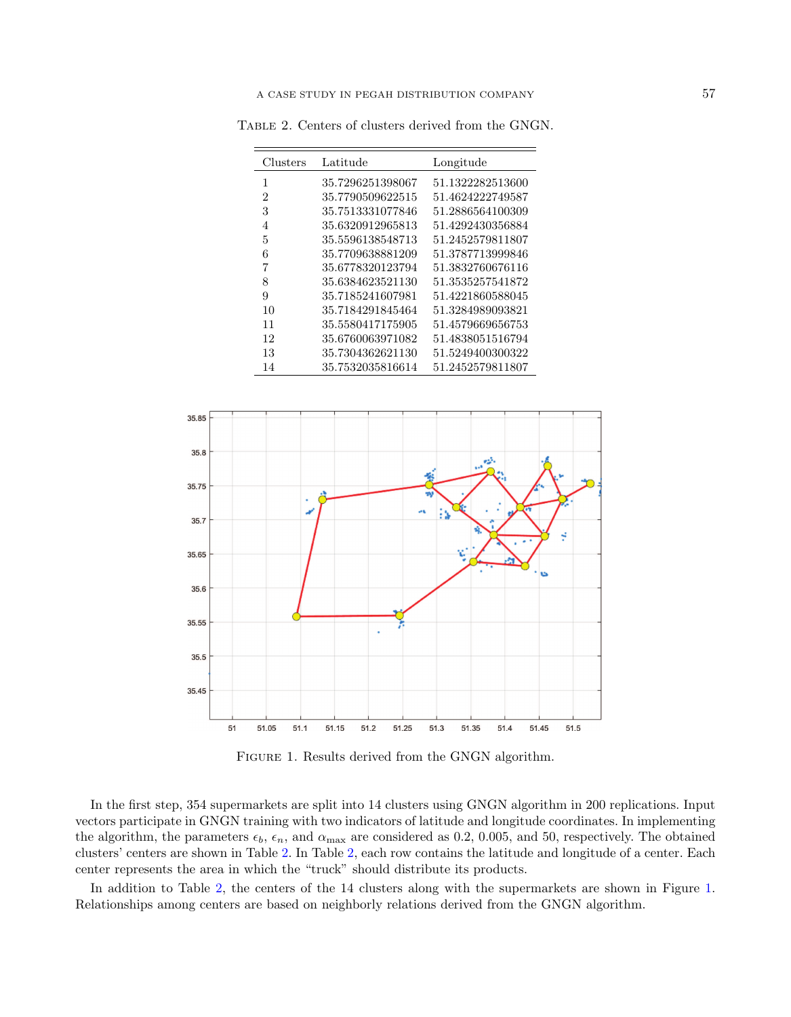<span id="page-6-0"></span>Table 2. Centers of clusters derived from the GNGN.

| Clusters | Latitude         | Longitude        |
|----------|------------------|------------------|
| 1        | 35.7296251398067 | 51.1322282513600 |
| 2        | 35.7790509622515 | 51.4624222749587 |
| 3        | 35.7513331077846 | 51.2886564100309 |
| 4        | 35.6320912965813 | 51.4292430356884 |
| 5        | 35.5596138548713 | 51.2452579811807 |
| 6        | 35.7709638881209 | 51.3787713999846 |
| 7        | 35.6778320123794 | 51.3832760676116 |
| 8        | 35.6384623521130 | 51.3535257541872 |
| 9        | 35.7185241607981 | 51.4221860588045 |
| 10       | 35.7184291845464 | 51.3284989093821 |
| 11       | 35.5580417175905 | 51.4579669656753 |
| 12       | 35.6760063971082 | 51.4838051516794 |
| 13       | 35.7304362621130 | 51.5249400300322 |
| 14       | 35.7532035816614 | 51.2452579811807 |



<span id="page-6-1"></span>Figure 1. Results derived from the GNGN algorithm.

In the first step, 354 supermarkets are split into 14 clusters using GNGN algorithm in 200 replications. Input vectors participate in GNGN training with two indicators of latitude and longitude coordinates. In implementing the algorithm, the parameters  $\epsilon_b$ ,  $\epsilon_n$ , and  $\alpha_{\text{max}}$  are considered as 0.2, 0.005, and 50, respectively. The obtained clusters' centers are shown in Table [2.](#page-6-0) In Table [2,](#page-6-0) each row contains the latitude and longitude of a center. Each center represents the area in which the "truck" should distribute its products.

In addition to Table [2,](#page-6-0) the centers of the 14 clusters along with the supermarkets are shown in Figure [1.](#page-6-1) Relationships among centers are based on neighborly relations derived from the GNGN algorithm.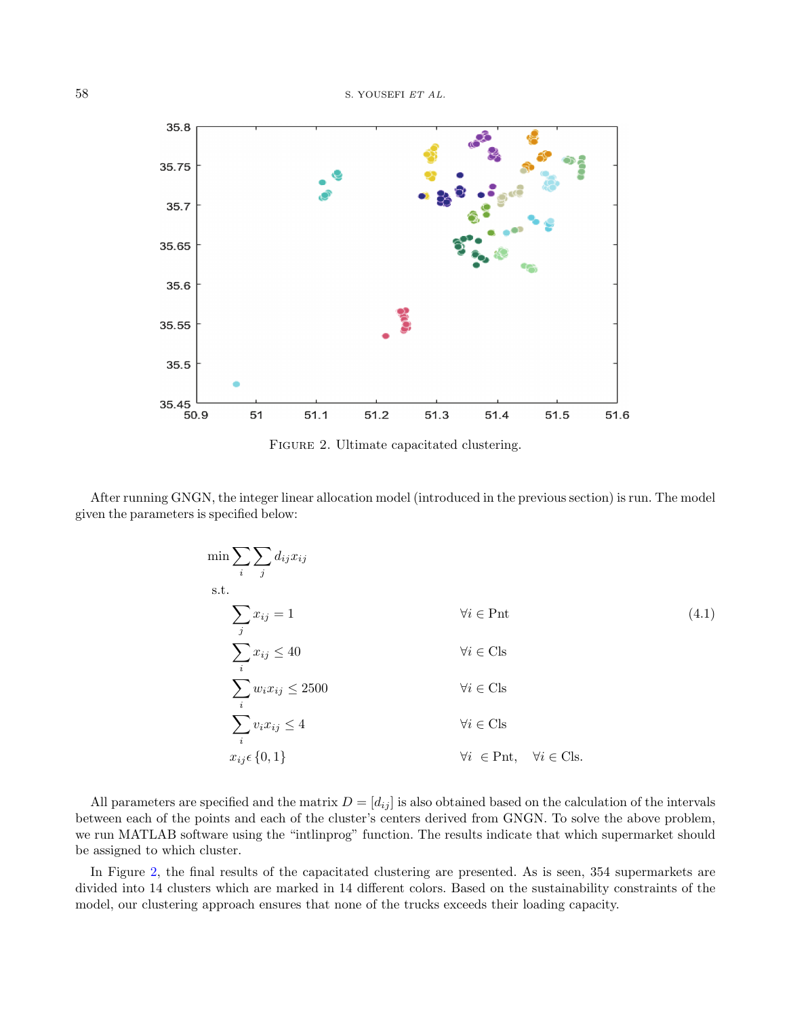

<span id="page-7-1"></span><span id="page-7-0"></span>FIGURE 2. Ultimate capacitated clustering.

After running GNGN, the integer linear allocation model (introduced in the previous section) is run. The model given the parameters is specified below:

$$
\min \sum_{i} \sum_{j} d_{ij} x_{ij}
$$
\n
$$
\text{s.t.}
$$
\n
$$
\sum_{j} x_{ij} = 1 \qquad \qquad \forall i \in \text{Pnt} \qquad (4.1)
$$
\n
$$
\sum_{i} x_{ij} \le 40 \qquad \qquad \forall i \in \text{Cls}
$$
\n
$$
\sum_{i} w_{i} x_{ij} \le 2500 \qquad \qquad \forall i \in \text{Cls}
$$
\n
$$
\sum_{i} v_{i} x_{ij} \le 4 \qquad \qquad \forall i \in \text{Cls}
$$
\n
$$
x_{ij} \in \{0, 1\} \qquad \qquad \forall i \in \text{Pnt}, \quad \forall i \in \text{Cls}.
$$
\n(4.1)

All parameters are specified and the matrix  $D = [d_{ij}]$  is also obtained based on the calculation of the intervals between each of the points and each of the cluster's centers derived from GNGN. To solve the above problem, we run MATLAB software using the "intlinprog" function. The results indicate that which supermarket should be assigned to which cluster.

In Figure [2,](#page-7-1) the final results of the capacitated clustering are presented. As is seen, 354 supermarkets are divided into 14 clusters which are marked in 14 different colors. Based on the sustainability constraints of the model, our clustering approach ensures that none of the trucks exceeds their loading capacity.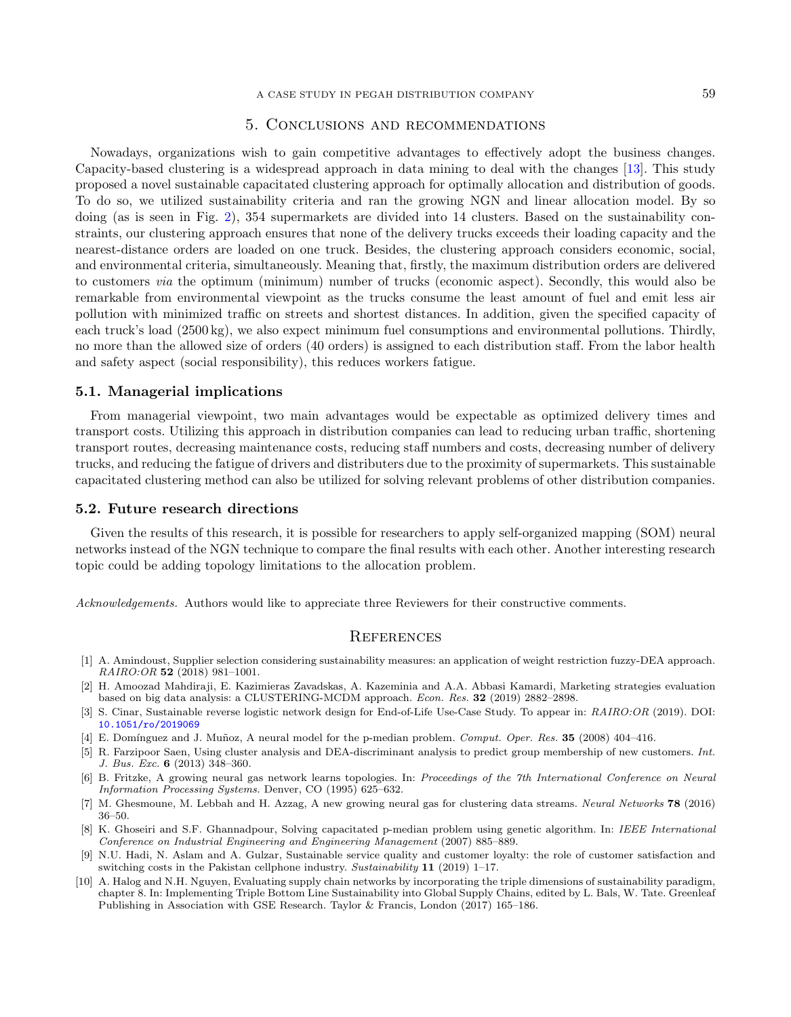# 5. Conclusions and recommendations

<span id="page-8-1"></span>Nowadays, organizations wish to gain competitive advantages to effectively adopt the business changes. Capacity-based clustering is a widespread approach in data mining to deal with the changes [\[13\]](#page-9-5). This study proposed a novel sustainable capacitated clustering approach for optimally allocation and distribution of goods. To do so, we utilized sustainability criteria and ran the growing NGN and linear allocation model. By so doing (as is seen in Fig. [2\)](#page-7-1), 354 supermarkets are divided into 14 clusters. Based on the sustainability constraints, our clustering approach ensures that none of the delivery trucks exceeds their loading capacity and the nearest-distance orders are loaded on one truck. Besides, the clustering approach considers economic, social, and environmental criteria, simultaneously. Meaning that, firstly, the maximum distribution orders are delivered to customers via the optimum (minimum) number of trucks (economic aspect). Secondly, this would also be remarkable from environmental viewpoint as the trucks consume the least amount of fuel and emit less air pollution with minimized traffic on streets and shortest distances. In addition, given the specified capacity of each truck's load (2500 kg), we also expect minimum fuel consumptions and environmental pollutions. Thirdly, no more than the allowed size of orders (40 orders) is assigned to each distribution staff. From the labor health and safety aspect (social responsibility), this reduces workers fatigue.

#### 5.1. Managerial implications

From managerial viewpoint, two main advantages would be expectable as optimized delivery times and transport costs. Utilizing this approach in distribution companies can lead to reducing urban traffic, shortening transport routes, decreasing maintenance costs, reducing staff numbers and costs, decreasing number of delivery trucks, and reducing the fatigue of drivers and distributers due to the proximity of supermarkets. This sustainable capacitated clustering method can also be utilized for solving relevant problems of other distribution companies.

### <span id="page-8-7"></span><span id="page-8-2"></span>5.2. Future research directions

<span id="page-8-8"></span><span id="page-8-6"></span><span id="page-8-4"></span>Given the results of this research, it is possible for researchers to apply self-organized mapping (SOM) neural networks instead of the NGN technique to compare the final results with each other. Another interesting research topic could be adding topology limitations to the allocation problem.

<span id="page-8-10"></span><span id="page-8-5"></span>Acknowledgements. Authors would like to appreciate three Reviewers for their constructive comments.

### **REFERENCES**

- <span id="page-8-9"></span><span id="page-8-3"></span>[1] A. Amindoust, Supplier selection considering sustainability measures: an application of weight restriction fuzzy-DEA approach. RAIRO:OR 52 (2018) 981–1001.
- <span id="page-8-0"></span>[2] H. Amoozad Mahdiraji, E. Kazimieras Zavadskas, A. Kazeminia and A.A. Abbasi Kamardi, Marketing strategies evaluation based on big data analysis: a CLUSTERING-MCDM approach. Econ. Res. 32 (2019) 2882–2898.
- [3] S. Cinar, Sustainable reverse logistic network design for End-of-Life Use-Case Study. To appear in: RAIRO:OR (2019). DOI: [10.1051/ro/2019069](https://doi.org/10.1051/ro/2019069)
- [4] E. Domínguez and J. Muñoz, A neural model for the p-median problem. Comput. Oper. Res. 35 (2008) 404–416.
- [5] R. Farzipoor Saen, Using cluster analysis and DEA-discriminant analysis to predict group membership of new customers. Int. J. Bus. Exc. 6 (2013) 348–360.
- [6] B. Fritzke, A growing neural gas network learns topologies. In: Proceedings of the 7th International Conference on Neural Information Processing Systems. Denver, CO (1995) 625–632.
- [7] M. Ghesmoune, M. Lebbah and H. Azzag, A new growing neural gas for clustering data streams. Neural Networks 78 (2016) 36–50.
- [8] K. Ghoseiri and S.F. Ghannadpour, Solving capacitated p-median problem using genetic algorithm. In: IEEE International Conference on Industrial Engineering and Engineering Management (2007) 885–889.
- [9] N.U. Hadi, N. Aslam and A. Gulzar, Sustainable service quality and customer loyalty: the role of customer satisfaction and switching costs in the Pakistan cellphone industry. Sustainability  $11$  (2019) 1–17.
- [10] A. Halog and N.H. Nguyen, Evaluating supply chain networks by incorporating the triple dimensions of sustainability paradigm, chapter 8. In: Implementing Triple Bottom Line Sustainability into Global Supply Chains, edited by L. Bals, W. Tate. Greenleaf Publishing in Association with GSE Research. Taylor & Francis, London (2017) 165–186.